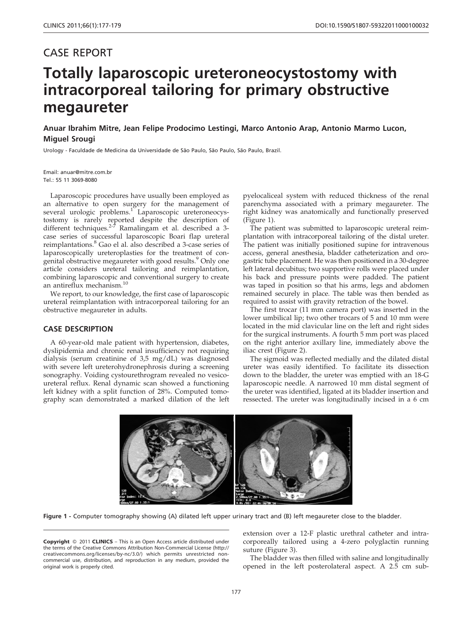## CASE REPORT

# Totally laparoscopic ureteroneocystostomy with intracorporeal tailoring for primary obstructive megaureter

Anuar Ibrahim Mitre, Jean Felipe Prodocimo Lestingi, Marco Antonio Arap, Antonio Marmo Lucon, Miguel Srougi

Urology - Faculdade de Medicina da Universidade de São Paulo, São Paulo, São Paulo, Brazil.

Email: anuar@mitre.com.br Tel.: 55 11 3069-8080

Laparoscopic procedures have usually been employed as an alternative to open surgery for the management of several urologic problems.<sup>[1](#page-2-0)</sup> [Laparoscopic ureteroneocys](#page-2-0)[tostomy is rarely reported despite the description of](#page-2-0) [different](#page-2-0) [techniques.](#page-2-0)<sup>2-7</sup> [Ramalingam et al. described a 3](#page-2-0) [case series of successful laparoscopic Boari flap ureteral](#page-2-0) [reimplantations.](#page-2-0)<sup>8</sup> [Gao el al. also described a 3-case series of](#page-2-0) [laparoscopically ureteroplasties for the treatment of con](#page-2-0)[genital](#page-2-0) [obstructive](#page-2-0) [megaureter](#page-2-0) [with](#page-2-0) [good](#page-2-0) [results.](#page-2-0)<sup>9</sup> [Only one](#page-2-0) [article considers ureteral tailoring and reimplantation,](#page-2-0) [combining laparoscopic and conventional surgery to create](#page-2-0) [an](#page-2-0) [antireflux](#page-2-0) [mechanism.](#page-2-0)<sup>10</sup>

We report, to our knowledge, the first case of laparoscopic ureteral reimplantation with intracorporeal tailoring for an obstructive megaureter in adults.

#### CASE DESCRIPTION

A 60-year-old male patient with hypertension, diabetes, dyslipidemia and chronic renal insufficiency not requiring dialysis (serum creatinine of 3,5 mg/dL) was diagnosed with severe left ureterohydronephrosis during a screening sonography. Voiding cystourethrogram revealed no vesicoureteral reflux. Renal dynamic scan showed a functioning left kidney with a split function of 28%. Computed tomography scan demonstrated a marked dilation of the left

pyelocaliceal system with reduced thickness of the renal parenchyma associated with a primary megaureter. The right kidney was anatomically and functionally preserved (Figure 1).

The patient was submitted to laparoscopic ureteral reimplantation with intracorporeal tailoring of the distal ureter. The patient was initially positioned supine for intravenous access, general anesthesia, bladder catheterization and orogastric tube placement. He was then positioned in a 30-degree left lateral decubitus; two supportive rolls were placed under his back and pressure points were padded. The patient was taped in position so that his arms, legs and abdomen remained securely in place. The table was then bended as required to assist with gravity retraction of the bowel.

The first trocar (11 mm camera port) was inserted in the lower umbilical lip; two other trocars of 5 and 10 mm were located in the mid clavicular line on the left and right sides for the surgical instruments. A fourth 5 mm port was placed on the right anterior axillary line, immediately above the iliac crest ([Figure 2\).](#page-1-0)

The sigmoid was reflected medially and the dilated distal ureter was easily identified. To facilitate its dissection down to the bladder, the ureter was emptied with an 18-G laparoscopic needle. A narrowed 10 mm distal segment of the ureter was identified, ligated at its bladder insertion and ressected. The ureter was longitudinally incised in a 6 cm



Figure 1 - Computer tomography showing (A) dilated left upper urinary tract and (B) left megaureter close to the bladder.

**Copyright** © 2011 **CLINICS** – This is an Open Access article distributed under the terms of the Creative Commons Attribution Non-Commercial License (http:// creativecommons.org/licenses/by-nc/3.0/) which permits unrestricted noncommercial use, distribution, and reproduction in any medium, provided the original work is properly cited.

extension over a 12-F plastic urethral catheter and intracorporeally tailored using a 4-zero polyglactin running suture [\(Figure 3\).](#page-1-0)

The bladder was then filled with saline and longitudinally opened in the left posterolateral aspect. A 2.5 cm sub-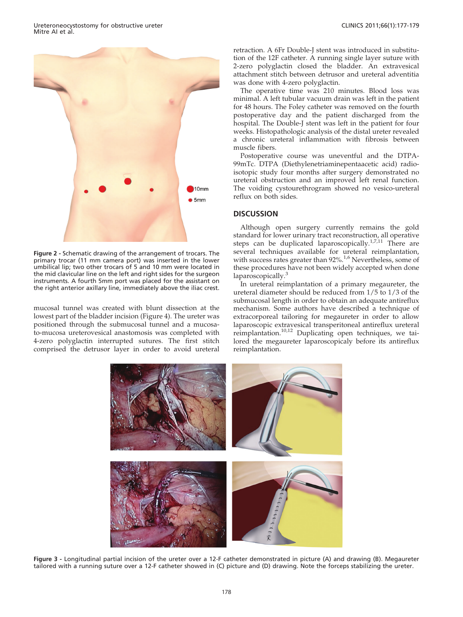<span id="page-1-0"></span>

Figure 2 - Schematic drawing of the arrangement of trocars. The primary trocar (11 mm camera port) was inserted in the lower umbilical lip; two other trocars of 5 and 10 mm were located in the mid clavicular line on the left and right sides for the surgeon instruments. A fourth 5mm port was placed for the assistant on the right anterior axillary line, immediately above the iliac crest.

mucosal tunnel was created with blunt dissection at the lowest part of the bladder incision (Figure 4). The ureter was positioned through the submucosal tunnel and a mucosato-mucosa ureterovesical anastomosis was completed with 4-zero polyglactin interrupted sutures. The first stitch comprised the detrusor layer in order to avoid ureteral retraction. A 6Fr Double-J stent was introduced in substitution of the 12F catheter. A running single layer suture with 2-zero polyglactin closed the bladder. An extravesical attachment stitch between detrusor and ureteral adventitia was done with 4-zero polyglactin.

The operative time was 210 minutes. Blood loss was minimal. A left tubular vacuum drain was left in the patient for 48 hours. The Foley catheter was removed on the fourth postoperative day and the patient discharged from the hospital. The Double-J stent was left in the patient for four weeks. Histopathologic analysis of the distal ureter revealed a chronic ureteral inflammation with fibrosis between muscle fibers.

Postoperative course was uneventful and the DTPA-99mTc. DTPA (Diethylenetriaminepentaacetic acid) radioisotopic study four months after surgery demonstrated no ureteral obstruction and an improved left renal function. The voiding cystourethrogram showed no vesico-ureteral reflux on both sides.

### **DISCUSSION**

Although open surgery currently remains the gold standard for lower urinary tract reconstruction, all operative steps can be duplicated laparoscopically.<sup>[1,7,11](#page-2-0)</sup> [There are](#page-2-0) [several techniques available for ureteral reimplantation,](#page-2-0) [with](#page-2-0) [success](#page-2-0) [rates](#page-2-0) [greater](#page-2-0) [than](#page-2-0) [92%.](#page-2-0)<sup>1,6</sup> [Nevertheless, some of](#page-2-0) [these procedures have not been widely accepted when done](#page-2-0) [laparoscopically.](#page-2-0)<sup>3</sup>

In ureteral reimplantation of a primary megaureter, the ureteral diameter should be reduced from 1/5 to 1/3 of the submucosal length in order to obtain an adequate antireflux mechanism. Some authors have described a technique of extracorporeal tailoring for megaureter in order to allow laparoscopic extravesical transperitoneal antireflux ureteral reimplantation.<sup>[10,12](#page-2-0)</sup> [Duplicating open techniques, we tai](#page-2-0)[lored the megaureter laparoscopicaly before its antireflux](#page-2-0) [reimplantation.](#page-2-0)



Figure 3 - Longitudinal partial incision of the ureter over a 12-F catheter demonstrated in picture (A) and drawing (B). Megaureter tailored with a running suture over a 12-F catheter showed in (C) picture and (D) drawing. Note the forceps stabilizing the ureter.